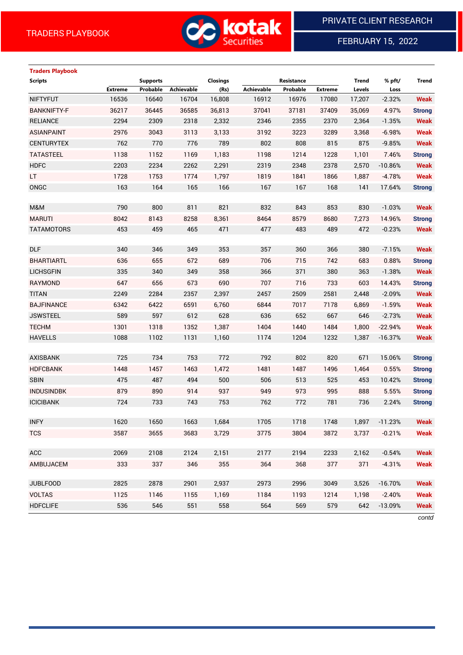

FEBRUARY 15, 2022

# **Traders Playbook**

| <b>Scripts</b>     |                | <b>Supports</b> |                   | Closings |            | Resistance |                | <b>Trend</b> | % pft/    | Trend         |
|--------------------|----------------|-----------------|-------------------|----------|------------|------------|----------------|--------------|-----------|---------------|
|                    | <b>Extreme</b> | Probable        | <b>Achievable</b> | (Rs)     | Achievable | Probable   | <b>Extreme</b> | Levels       | Loss      |               |
| <b>NIFTYFUT</b>    | 16536          | 16640           | 16704             | 16,808   | 16912      | 16976      | 17080          | 17,207       | $-2.32%$  | <b>Weak</b>   |
| <b>BANKNIFTY-F</b> | 36217          | 36445           | 36585             | 36,813   | 37041      | 37181      | 37409          | 35,069       | 4.97%     | <b>Strong</b> |
| <b>RELIANCE</b>    | 2294           | 2309            | 2318              | 2,332    | 2346       | 2355       | 2370           | 2,364        | $-1.35%$  | <b>Weak</b>   |
| <b>ASIANPAINT</b>  | 2976           | 3043            | 3113              | 3,133    | 3192       | 3223       | 3289           | 3,368        | $-6.98%$  | <b>Weak</b>   |
| <b>CENTURYTEX</b>  | 762            | 770             | 776               | 789      | 802        | 808        | 815            | 875          | $-9.85%$  | <b>Weak</b>   |
| <b>TATASTEEL</b>   | 1138           | 1152            | 1169              | 1,183    | 1198       | 1214       | 1228           | 1,101        | 7.46%     | <b>Strong</b> |
| <b>HDFC</b>        | 2203           | 2234            | 2262              | 2,291    | 2319       | 2348       | 2378           | 2,570        | $-10.86%$ | <b>Weak</b>   |
| LT.                | 1728           | 1753            | 1774              | 1,797    | 1819       | 1841       | 1866           | 1,887        | $-4.78%$  | <b>Weak</b>   |
| ONGC               | 163            | 164             | 165               | 166      | 167        | 167        | 168            | 141          | 17.64%    | <b>Strong</b> |
|                    |                |                 |                   |          |            |            |                |              |           |               |
| M&M                | 790            | 800             | 811               | 821      | 832        | 843        | 853            | 830          | $-1.03%$  | <b>Weak</b>   |
| <b>MARUTI</b>      | 8042           | 8143            | 8258              | 8,361    | 8464       | 8579       | 8680           | 7,273        | 14.96%    | <b>Strong</b> |
| <b>TATAMOTORS</b>  | 453            | 459             | 465               | 471      | 477        | 483        | 489            | 472          | $-0.23%$  | <b>Weak</b>   |
|                    |                |                 |                   |          |            |            |                |              |           |               |
| <b>DLF</b>         | 340            | 346             | 349               | 353      | 357        | 360        | 366            | 380          | $-7.15%$  | <b>Weak</b>   |
| <b>BHARTIARTL</b>  | 636            | 655             | 672               | 689      | 706        | 715        | 742            | 683          | 0.88%     | <b>Strong</b> |
| <b>LICHSGFIN</b>   | 335            | 340             | 349               | 358      | 366        | 371        | 380            | 363          | $-1.38%$  | <b>Weak</b>   |
| <b>RAYMOND</b>     | 647            | 656             | 673               | 690      | 707        | 716        | 733            | 603          | 14.43%    | <b>Strong</b> |
| <b>TITAN</b>       | 2249           | 2284            | 2357              | 2,397    | 2457       | 2509       | 2581           | 2,448        | $-2.09%$  | <b>Weak</b>   |
| <b>BAJFINANCE</b>  | 6342           | 6422            | 6591              | 6,760    | 6844       | 7017       | 7178           | 6,869        | $-1.59%$  | <b>Weak</b>   |
| <b>JSWSTEEL</b>    | 589            | 597             | 612               | 628      | 636        | 652        | 667            | 646          | $-2.73%$  | <b>Weak</b>   |
| <b>TECHM</b>       | 1301           | 1318            | 1352              | 1,387    | 1404       | 1440       | 1484           | 1,800        | $-22.94%$ | <b>Weak</b>   |
| <b>HAVELLS</b>     | 1088           | 1102            | 1131              | 1,160    | 1174       | 1204       | 1232           | 1,387        | $-16.37%$ | <b>Weak</b>   |
|                    |                |                 |                   |          |            |            |                |              |           |               |
| <b>AXISBANK</b>    | 725            | 734             | 753               | 772      | 792        | 802        | 820            | 671          | 15.06%    | <b>Strong</b> |
| <b>HDFCBANK</b>    | 1448           | 1457            | 1463              | 1,472    | 1481       | 1487       | 1496           | 1,464        | 0.55%     | <b>Strong</b> |
| <b>SBIN</b>        | 475            | 487             | 494               | 500      | 506        | 513        | 525            | 453          | 10.42%    | <b>Strong</b> |
| <b>INDUSINDBK</b>  | 879            | 890             | 914               | 937      | 949        | 973        | 995            | 888          | 5.55%     | <b>Strong</b> |
| <b>ICICIBANK</b>   | 724            | 733             | 743               | 753      | 762        | 772        | 781            | 736          | 2.24%     | <b>Strong</b> |
|                    |                |                 |                   |          |            |            |                |              |           |               |
| <b>INFY</b>        | 1620           | 1650            | 1663              | 1,684    | 1705       | 1718       | 1748           | 1,897        | $-11.23%$ | <b>Weak</b>   |
| <b>TCS</b>         | 3587           | 3655            | 3683              | 3,729    | 3775       | 3804       | 3872           | 3,737        | $-0.21%$  | <b>Weak</b>   |
|                    |                |                 |                   |          |            |            |                |              |           |               |
| ACC                | 2069           | 2108            | 2124              | 2,151    | 2177       | 2194       | 2233           | 2,162        | $-0.54%$  | <b>Weak</b>   |
| AMBUJACEM          | 333            | 337             | 346               | 355      | 364        | 368        | 377            | 371          | $-4.31%$  | <b>Weak</b>   |
|                    |                |                 |                   |          |            |            |                |              |           |               |
| <b>JUBLFOOD</b>    | 2825           | 2878            | 2901              | 2,937    | 2973       | 2996       | 3049           | 3,526        | $-16.70%$ | <b>Weak</b>   |
| <b>VOLTAS</b>      | 1125           | 1146            | 1155              | 1,169    | 1184       | 1193       | 1214           | 1,198        | $-2.40%$  | <b>Weak</b>   |
| <b>HDFCLIFE</b>    | 536            | 546             | 551               | 558      | 564        | 569        | 579            | 642          | $-13.09%$ | <b>Weak</b>   |

*contd*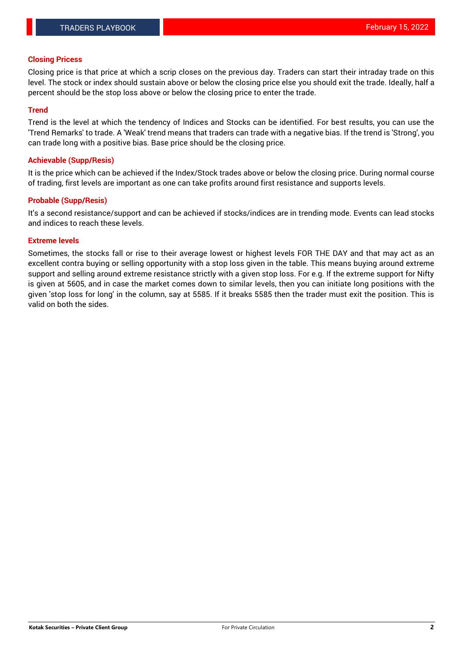#### **Closing Pricess**

Closing price is that price at which a scrip closes on the previous day. Traders can start their intraday trade on this level. The stock or index should sustain above or below the closing price else you should exit the trade. Ideally, half a percent should be the stop loss above or below the closing price to enter the trade.

## **Trend**

Trend is the level at which the tendency of Indices and Stocks can be identified. For best results, you can use the 'Trend Remarks' to trade. A 'Weak' trend means that traders can trade with a negative bias. If the trend is 'Strong', you can trade long with a positive bias. Base price should be the closing price.

#### **Achievable (Supp/Resis)**

It is the price which can be achieved if the Index/Stock trades above or below the closing price. During normal course of trading, first levels are important as one can take profits around first resistance and supports levels.

## **Probable (Supp/Resis)**

It's a second resistance/support and can be achieved if stocks/indices are in trending mode. Events can lead stocks and indices to reach these levels.

#### **Extreme levels**

Sometimes, the stocks fall or rise to their average lowest or highest levels FOR THE DAY and that may act as an excellent contra buying or selling opportunity with a stop loss given in the table. This means buying around extreme support and selling around extreme resistance strictly with a given stop loss. For e.g. If the extreme support for Nifty is given at 5605, and in case the market comes down to similar levels, then you can initiate long positions with the given 'stop loss for long' in the column, say at 5585. If it breaks 5585 then the trader must exit the position. This is valid on both the sides.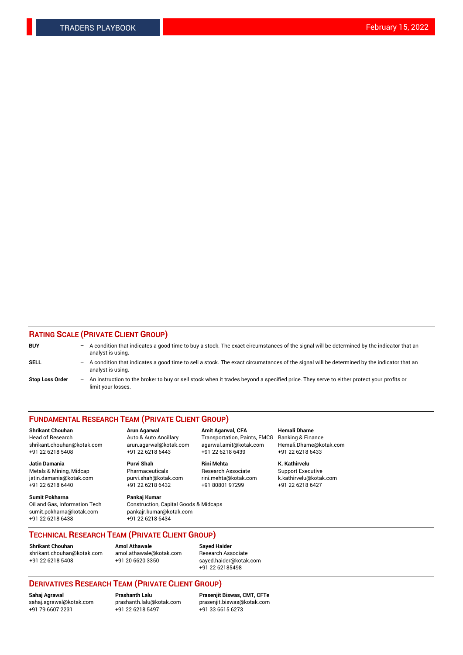## **RATING SCALE (PRIVATE CLIENT GROUP)**

| <b>BUY</b>             | $\overline{\phantom{0}}$ | A condition that indicates a good time to buy a stock. The exact circumstances of the signal will be determined by the indicator that an<br>analyst is using.  |
|------------------------|--------------------------|----------------------------------------------------------------------------------------------------------------------------------------------------------------|
| SELL                   | $\overline{\phantom{0}}$ | A condition that indicates a good time to sell a stock. The exact circumstances of the signal will be determined by the indicator that an<br>analyst is using. |
| <b>Stop Loss Order</b> | $-$                      | An instruction to the broker to buy or sell stock when it trades beyond a specified price. They serve to either protect your profits or<br>limit your losses.  |

#### **FUNDAMENTAL RESEARCH TEAM (PRIVATE CLIENT GROUP)**

**Jatin Damania Purvi Shah Rini Mehta K. Kathirvelu** Metals & Mining, Midcap **Pharmaceuticals** Research Associate Support Executive jatin.damania@kotak.com [purvi.shah@kotak.com](mailto:purvi.shah@kotak.com) rini.mehta@kotak.com [k.kathirvelu@kotak.com](mailto:k.kathirvelu@kotak.com)

**Sumit Pokharna Pankaj Kumar** +91 22 6218 6438 +91 22 6218 6434

**Shrikant Chouhan Arun Agarwal Amit Agarwal, CFA Hemali Dhame**

 $+91$  22 6218 6432

Oil and Gas, Information Tech Construction, Capital Goods & Midcaps<br>sumit.pokharna@kotak.com pankair.kumar@kotak.com pankajr.kumar@kotak.com

Head of Research **Auto & Auto Ancillary** Transportation, Paints, FMCG Banking & Finance shrikant.chouhan@kotak.com arun.agarwal@kotak.com agarwal.amit@kotak.com Hemali.Dhame@kotak.com +91 22 6218 5408 +91 22 6218 6443 +91 22 6218 6439 +91 22 6218 6433

**TECHNICAL RESEARCH TEAM (PRIVATE CLIENT GROUP)**

**Shrikant Chouhan Amol Athawale Sayed Haider** [shrikant.chouhan@kotak.com](mailto:shrikant.chouhan@kotak.com) [amol.athawale@kotak.com](mailto:amol.athawale@kotak.com) Research Associate +91 22 6218 5408 +91 20 6620 3350 [sayed.haider@kotak.com](mailto:sayed.haider@kotak.com)

+91 22 62185498

# **DERIVATIVES RESEARCH TEAM (PRIVATE CLIENT GROUP)**

.<br>+91 22 6218 5497

**Sahaj Agrawal Prashanth Lalu Prasenjit Biswas, CMT, CFTe** [sahaj.agrawal@kotak.com](mailto:sahaj.agrawal@kotak.com) [prashanth.lalu@kotak.com](mailto:prashanth.lalu@kotak.com) [prasenjit.biswas@kotak.com](mailto:prasenjit.biswas@kotak.com)